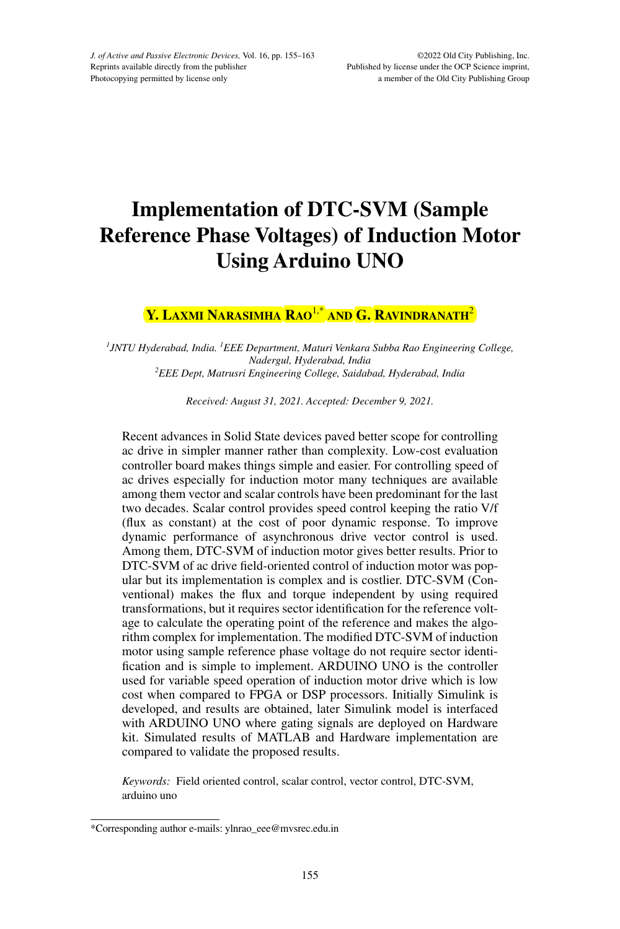# **Implementation of DTC-SVM (Sample Reference Phase Voltages) of Induction Motor Using Arduino UNO**

# **Y. Laxmi Narasimha Rao**1,\* **and G. Ravindranath**<sup>2</sup>

<sup>1</sup> JNTU Hyderabad, India. <sup>1</sup> EEE Department, Maturi Venkara Subba Rao Engineering College, *Nadergul, Hyderabad, India 2 EEE Dept, Matrusri Engineering College, Saidabad, Hyderabad, India*

*Received: August 31, 2021. Accepted: December 9, 2021.*

Recent advances in Solid State devices paved better scope for controlling ac drive in simpler manner rather than complexity. Low-cost evaluation controller board makes things simple and easier. For controlling speed of ac drives especially for induction motor many techniques are available among them vector and scalar controls have been predominant for the last two decades. Scalar control provides speed control keeping the ratio V/f (flux as constant) at the cost of poor dynamic response. To improve dynamic performance of asynchronous drive vector control is used. Among them, DTC-SVM of induction motor gives better results. Prior to DTC-SVM of ac drive field-oriented control of induction motor was popular but its implementation is complex and is costlier. DTC-SVM (Conventional) makes the flux and torque independent by using required transformations, but it requires sector identification for the reference voltage to calculate the operating point of the reference and makes the algorithm complex for implementation. The modified DTC-SVM of induction motor using sample reference phase voltage do not require sector identification and is simple to implement. ARDUINO UNO is the controller used for variable speed operation of induction motor drive which is low cost when compared to FPGA or DSP processors. Initially Simulink is developed, and results are obtained, later Simulink model is interfaced with ARDUINO UNO where gating signals are deployed on Hardware kit. Simulated results of MATLAB and Hardware implementation are compared to validate the proposed results.

*Keywords:* Field oriented control, scalar control, vector control, DTC-SVM, arduino uno

<sup>\*</sup>Corresponding author e-mails: ylnrao\_eee@mvsrec.edu.in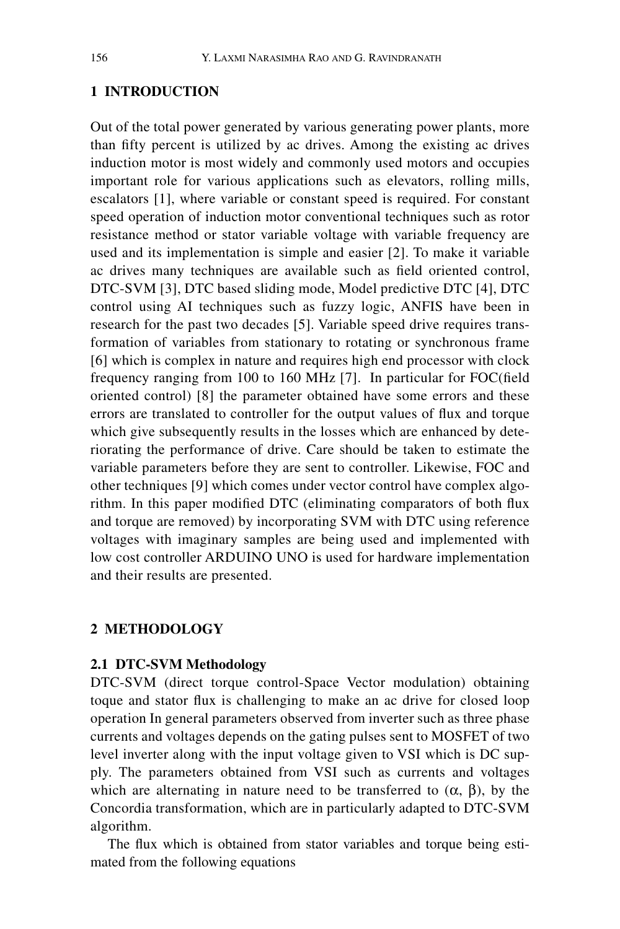# **1 INTRODUCTION**

Out of the total power generated by various generating power plants, more than fifty percent is utilized by ac drives. Among the existing ac drives induction motor is most widely and commonly used motors and occupies important role for various applications such as elevators, rolling mills, escalators [1], where variable or constant speed is required. For constant speed operation of induction motor conventional techniques such as rotor resistance method or stator variable voltage with variable frequency are used and its implementation is simple and easier [2]. To make it variable ac drives many techniques are available such as field oriented control, DTC-SVM [3], DTC based sliding mode, Model predictive DTC [4], DTC control using AI techniques such as fuzzy logic, ANFIS have been in research for the past two decades [5]. Variable speed drive requires transformation of variables from stationary to rotating or synchronous frame [6] which is complex in nature and requires high end processor with clock frequency ranging from 100 to 160 MHz [7]. In particular for FOC(field oriented control) [8] the parameter obtained have some errors and these errors are translated to controller for the output values of flux and torque which give subsequently results in the losses which are enhanced by deteriorating the performance of drive. Care should be taken to estimate the variable parameters before they are sent to controller. Likewise, FOC and other techniques [9] which comes under vector control have complex algorithm. In this paper modified DTC (eliminating comparators of both flux and torque are removed) by incorporating SVM with DTC using reference voltages with imaginary samples are being used and implemented with low cost controller ARDUINO UNO is used for hardware implementation and their results are presented.

### **2 METHODOLOGY**

# **2.1 DTC-SVM Methodology**

DTC-SVM (direct torque control-Space Vector modulation) obtaining toque and stator flux is challenging to make an ac drive for closed loop operation In general parameters observed from inverter such as three phase currents and voltages depends on the gating pulses sent to MOSFET of two level inverter along with the input voltage given to VSI which is DC supply. The parameters obtained from VSI such as currents and voltages which are alternating in nature need to be transferred to  $(\alpha, \beta)$ , by the Concordia transformation, which are in particularly adapted to DTC-SVM algorithm.

The flux which is obtained from stator variables and torque being estimated from the following equations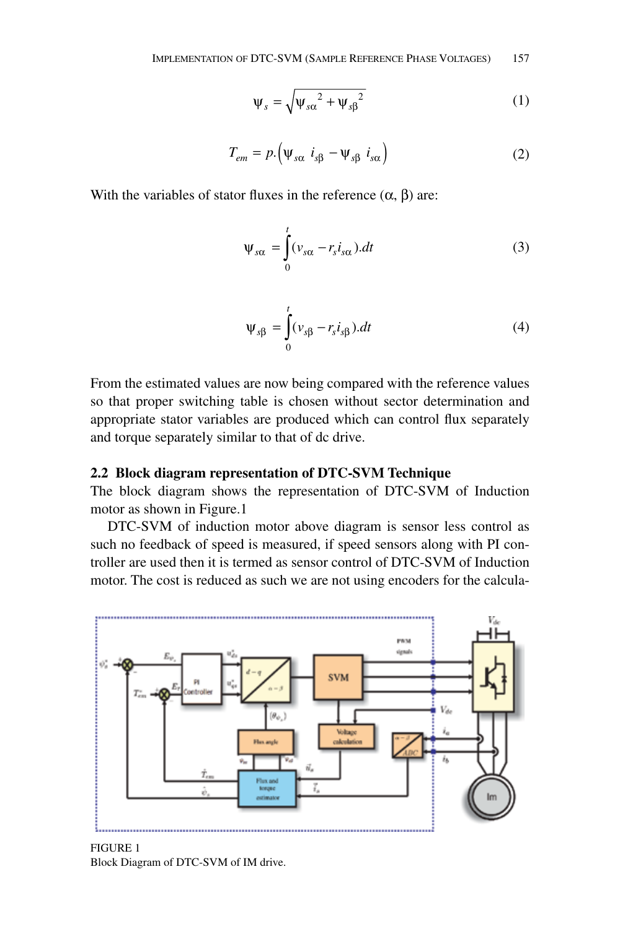$$
\Psi_s = \sqrt{\Psi_{s\alpha}^2 + \Psi_{s\beta}^2}
$$
 (1)

$$
T_{em} = p. (\Psi_{s\alpha} \ i_{s\beta} - \Psi_{s\beta} \ i_{s\alpha})
$$
 (2)

With the variables of stator fluxes in the reference  $(\alpha, \beta)$  are:

$$
\Psi_{s\alpha} = \int_{0}^{t} (\nu_{s\alpha} - r_s i_{s\alpha}).dt
$$
 (3)

$$
\Psi_{s\beta} = \int_{0}^{t} (\nu_{s\beta} - r_s i_{s\beta}).dt
$$
\n(4)

From the estimated values are now being compared with the reference values so that proper switching table is chosen without sector determination and appropriate stator variables are produced which can control flux separately and torque separately similar to that of dc drive.

### **2.2 Block diagram representation of DTC-SVM Technique**

The block diagram shows the representation of DTC-SVM of Induction motor as shown in Figure.1

DTC-SVM of induction motor above diagram is sensor less control as such no feedback of speed is measured, if speed sensors along with PI controller are used then it is termed as sensor control of DTC-SVM of Induction motor. The cost is reduced as such we are not using encoders for the calcula-



Figure 1 Block Diagram of DTC-SVM of IM drive.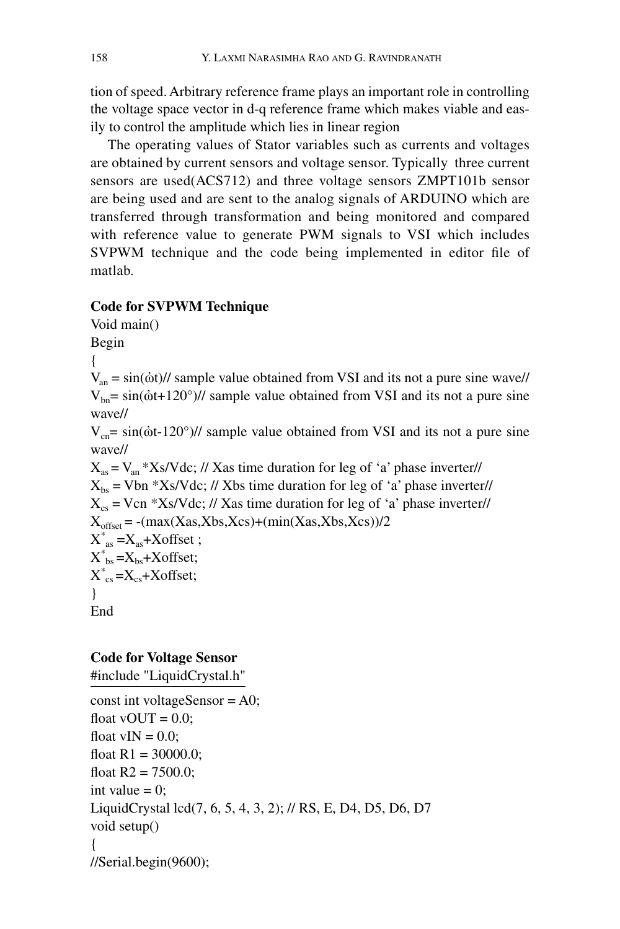tion of speed. Arbitrary reference frame plays an important role in controlling the voltage space vector in d-q reference frame which makes viable and easily to control the amplitude which lies in linear region

The operating values of Stator variables such as currents and voltages are obtained by current sensors and voltage sensor. Typically three current sensors are used(ACS712) and three voltage sensors ZMPT101b sensor are being used and are sent to the analog signals of ARDUINO which are transferred through transformation and being monitored and compared with reference value to generate PWM signals to VSI which includes SVPWM technique and the code being implemented in editor file of matlab.

# **Code for SVPWM Technique**

Void main() Begin {  $V_{an} = \frac{\sin(\dot{\omega}t)}{3}$  sample value obtained from VSI and its not a pure sine wave//  $V_{bn}$ = sin( $\dot{\omega}$ t+120°)// sample value obtained from VSI and its not a pure sine wave//  $V_{cn}$ = sin( $\dot{\omega}$ t-120°)// sample value obtained from VSI and its not a pure sine wave//  $X_{as} = V_{an} * Xs/Vdc$ ; // Xas time duration for leg of 'a' phase inverter//  $X_{bs}$  = Vbn \*Xs/Vdc; // Xbs time duration for leg of 'a' phase inverter//  $X_{\text{cs}}$  = Vcn \*Xs/Vdc; // Xas time duration for leg of 'a' phase inverter//  $X_{\text{offset}} = -(max(Xas,Xbs,Xcs)+(min(Xas,Xbs,Xcs))/2$  $X^*_{as} = X_{as} + X$ offset;  $X^*_{\text{bs}} = X_{\text{bs}} + X \text{offset};$  $X^*_{cs}$  =X<sub>cs</sub>+Xoffset; } End

# **Code for Voltage Sensor**

#include "LiquidCrystal.h"

```
const int voltageSensor = A0;
float vOUT = 0.0;
float vIN = 0.0:
float R1 = 30000.0;
float R2 = 7500.0;
int value = 0;
LiquidCrystal lcd(7, 6, 5, 4, 3, 2); // RS, E, D4, D5, D6, D7
void setup()
{
//Serial.begin(9600);
```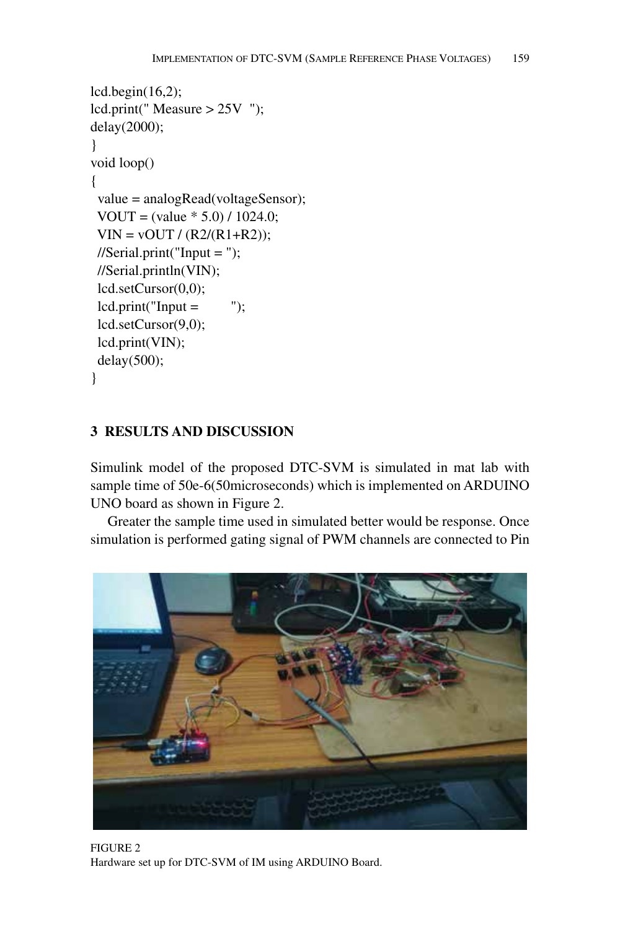```
lcd.begin(16,2);
lcd.print(" Measure > 25V ");
delay(2000);
}
void loop()
{
  value = analogRead(voltageSensor);
  VOUT = (value * 5.0) / 1024.0;
 VIN = vOUT / (R2/(R1 + R2));//Serial.print("Input = ");
  //Serial.println(VIN);
  lcd.setCursor(0,0);
 led.print("Input = " lcd.setCursor(9,0);
  lcd.print(VIN);
  delay(500);
}
```
# **3 Results and Discussion**

Simulink model of the proposed DTC-SVM is simulated in mat lab with sample time of 50e-6(50microseconds) which is implemented on ARDUINO UNO board as shown in Figure 2.

Greater the sample time used in simulated better would be response. Once simulation is performed gating signal of PWM channels are connected to Pin



Figure 2 Hardware set up for DTC-SVM of IM using ARDUINO Board.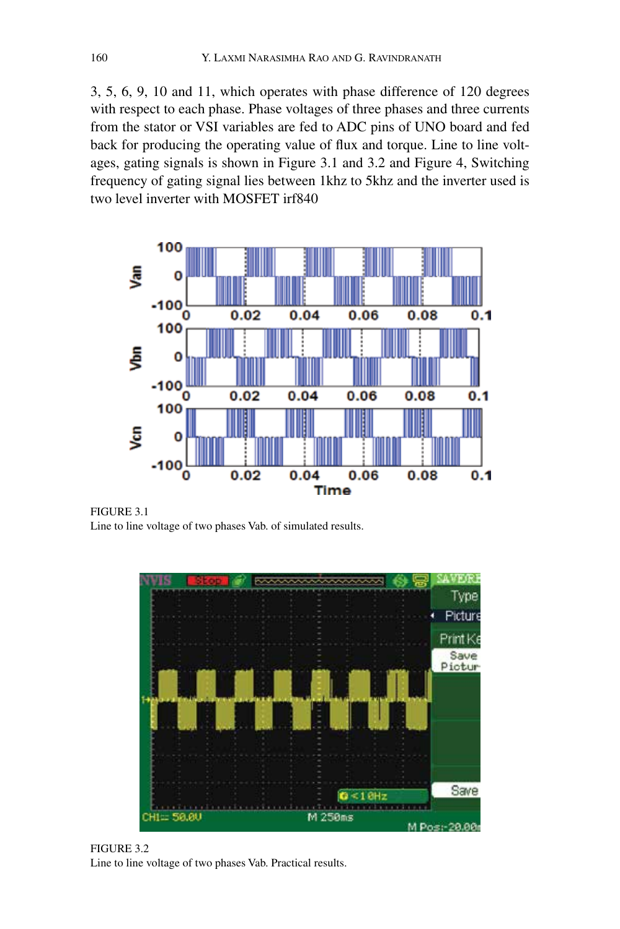3, 5, 6, 9, 10 and 11, which operates with phase difference of 120 degrees with respect to each phase. Phase voltages of three phases and three currents from the stator or VSI variables are fed to ADC pins of UNO board and fed back for producing the operating value of flux and torque. Line to line voltages, gating signals is shown in Figure 3.1 and 3.2 and Figure 4, Switching frequency of gating signal lies between 1khz to 5khz and the inverter used is two level inverter with MOSFET irf840



FIGURE 3.1 Line to line voltage of two phases Vab. of simulated results.



Figure 3.2 Line to line voltage of two phases Vab. Practical results.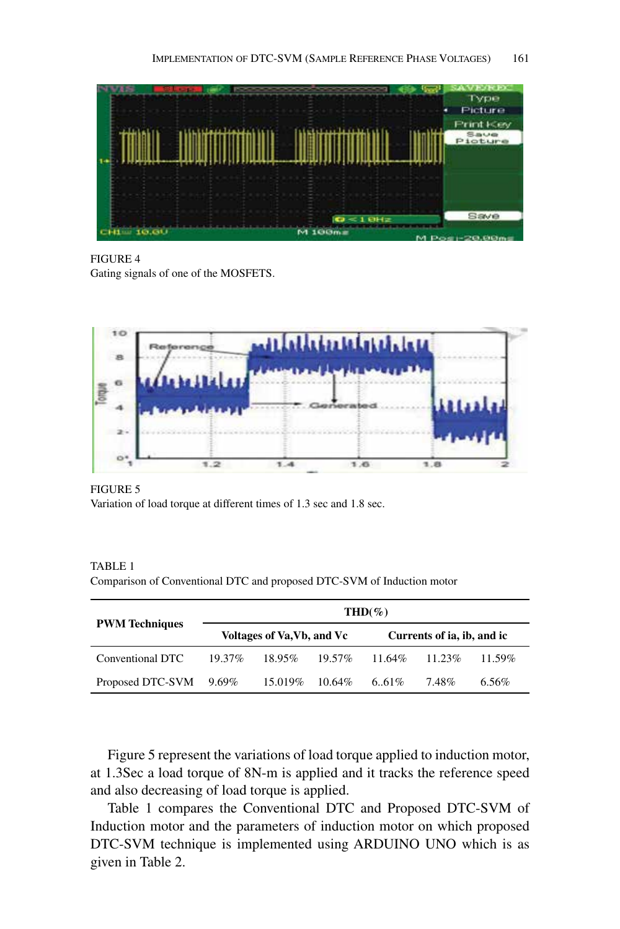

Figure 4 Gating signals of one of the MOSFETS.



Figure 5 Variation of load torque at different times of 1.3 sec and 1.8 sec.

TABLE 1 Comparison of Conventional DTC and proposed DTC-SVM of Induction motor

|                        | $THD(\%)$                  |           |           |                            |           |        |  |
|------------------------|----------------------------|-----------|-----------|----------------------------|-----------|--------|--|
| <b>PWM</b> Techniques  | Voltages of Va, Vb, and Vc |           |           | Currents of ia, ib, and ic |           |        |  |
| Conventional DTC       | $19.37\%$                  | $18.95\%$ | $19.57\%$ | $11.64\%$                  | $11.23\%$ | 11.59% |  |
| Proposed DTC-SVM 9.69% |                            | 15.019%   | 10.64%    | 6.61\%                     | 7.48%     | 6.56%  |  |

Figure 5 represent the variations of load torque applied to induction motor, at 1.3Sec a load torque of 8N-m is applied and it tracks the reference speed and also decreasing of load torque is applied.

Table 1 compares the Conventional DTC and Proposed DTC-SVM of Induction motor and the parameters of induction motor on which proposed DTC-SVM technique is implemented using ARDUINO UNO which is as given in Table 2.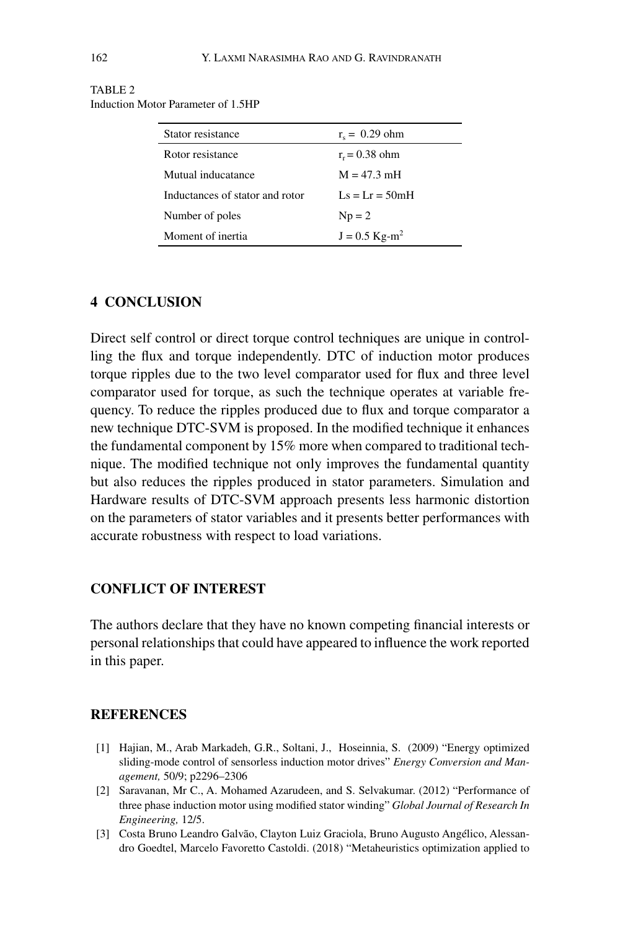| Stator resistance               | $r_s = 0.29$ ohm            |  |  |
|---------------------------------|-----------------------------|--|--|
| Rotor resistance                | $r_r = 0.38$ ohm            |  |  |
| Mutual inducatance              | $M = 47.3$ mH               |  |  |
| Inductances of stator and rotor | $Ls = Lr = 50mH$            |  |  |
| Number of poles                 | $Np = 2$                    |  |  |
| Moment of inertia               | $J = 0.5$ Kg-m <sup>2</sup> |  |  |

#### TABLE<sub>2</sub> Induction Motor Parameter of 1.5HP

### **4 CONCLUSION**

Direct self control or direct torque control techniques are unique in controlling the flux and torque independently. DTC of induction motor produces torque ripples due to the two level comparator used for flux and three level comparator used for torque, as such the technique operates at variable frequency. To reduce the ripples produced due to flux and torque comparator a new technique DTC-SVM is proposed. In the modified technique it enhances the fundamental component by 15% more when compared to traditional technique. The modified technique not only improves the fundamental quantity but also reduces the ripples produced in stator parameters. Simulation and Hardware results of DTC-SVM approach presents less harmonic distortion on the parameters of stator variables and it presents better performances with accurate robustness with respect to load variations.

### **Conflict of interest**

The authors declare that they have no known competing financial interests or personal relationships that could have appeared to influence the work reported in this paper.

# **References**

- [1] Hajian, M., Arab Markadeh, G.R., Soltani, J., Hoseinnia, S. (2009) "Energy optimized sliding-mode control of sensorless induction motor drives" *Energy Conversion and Management,* 50/9; p2296–2306
- [2] Saravanan, Mr C., A. Mohamed Azarudeen, and S. Selvakumar. (2012) "Performance of three phase induction motor using modified stator winding" *Global Journal of Research In Engineering,* 12/5.
- [3] Costa Bruno Leandro Galvão, Clayton Luiz Graciola, Bruno Augusto Angélico, Alessandro Goedtel, Marcelo Favoretto Castoldi. (2018) "Metaheuristics optimization applied to